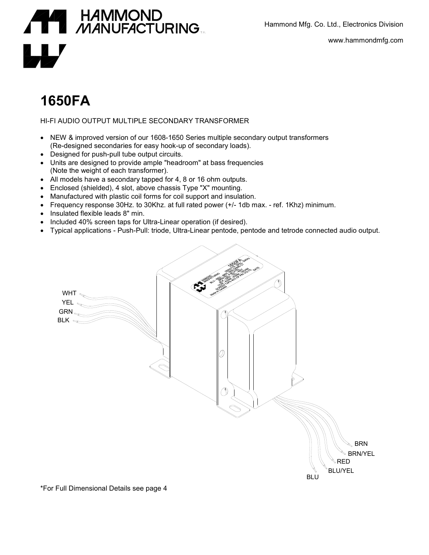Hammond Mfg. Co. Ltd., Electronics Division



www.hammondmfg.com

## **1650FA**

HI-FI AUDIO OUTPUT MULTIPLE SECONDARY TRANSFORMER

- NEW & improved version of our 1608-1650 Series multiple secondary output transformers (Re-designed secondaries for easy hook-up of secondary loads).
- Designed for push-pull tube output circuits.
- Units are designed to provide ample "headroom" at bass frequencies (Note the weight of each transformer).
- All models have a secondary tapped for 4, 8 or 16 ohm outputs.
- Enclosed (shielded), 4 slot, above chassis Type "X" mounting.
- Manufactured with plastic coil forms for coil support and insulation.
- Frequency response 30Hz. to 30Khz. at full rated power (+/- 1db max. ref. 1Khz) minimum.
- Insulated flexible leads 8" min.
- Included 40% screen taps for Ultra-Linear operation (if desired).
- Typical applications Push-Pull: triode, Ultra-Linear pentode, pentode and tetrode connected audio output.



\*For Full Dimensional Details see page 4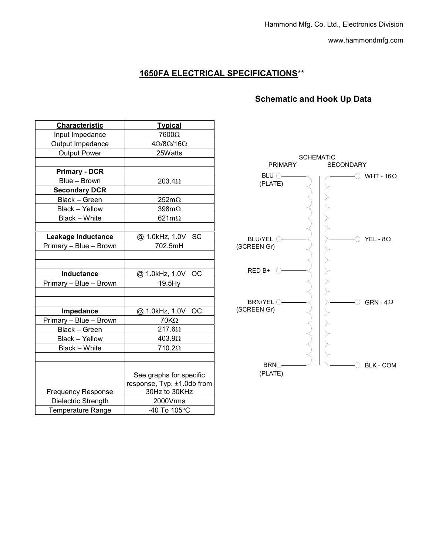www.hammondmfg.com

## **1650FA ELECTRICAL SPECIFICATIONS**\*\*

## **Schematic and Hook Up Data**

| Characteristic            | <b>Typical</b>                   |           |
|---------------------------|----------------------------------|-----------|
| Input Impedance           | 7600Ω                            |           |
| Output Impedance          | $4\Omega/8\Omega/16\Omega$       |           |
| <b>Output Power</b>       | 25Watts                          |           |
|                           |                                  |           |
| <b>Primary - DCR</b>      |                                  |           |
| Blue - Brown              | 203.4Ω                           |           |
| <b>Secondary DCR</b>      |                                  |           |
| Black - Green             | $252m\Omega$                     |           |
| Black - Yellow            | $398m\Omega$                     |           |
| Black - White             | 621m $\Omega$                    |           |
|                           |                                  |           |
| Leakage Inductance        | @ 1.0kHz, 1.0V SC                | BL        |
| Primary - Blue - Brown    | 702.5mH                          | (SCRE     |
|                           |                                  |           |
|                           |                                  |           |
| Inductance                | @ 1.0kHz, 1.0V<br>ОC             | <b>RE</b> |
| Primary - Blue - Brown    | 19.5Hy                           |           |
|                           |                                  |           |
|                           |                                  | BF        |
| Impedance                 | @ 1.0kHz, 1.0V OC                | (SCRE     |
| Primary - Blue - Brown    | $70K\Omega$                      |           |
| Black - Green             | 217.60                           |           |
| Black - Yellow            | 403.90                           |           |
| Black - White             | 710.2Ω                           |           |
|                           |                                  |           |
|                           |                                  |           |
|                           | See graphs for specific          |           |
|                           | response, Typ. $\pm 1.0$ db from |           |
| <b>Frequency Response</b> | 30Hz to 30KHz                    |           |
| Dielectric Strength       | 2000Vrms                         |           |
| <b>Temperature Range</b>  | -40 To 105°C                     |           |

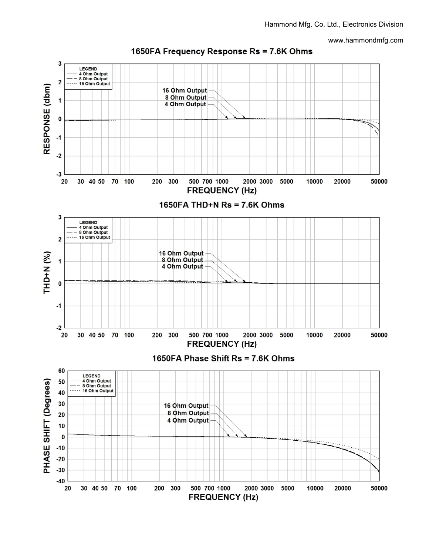www.hammondmfg.com



1650FA Frequency Response Rs = 7.6K Ohms